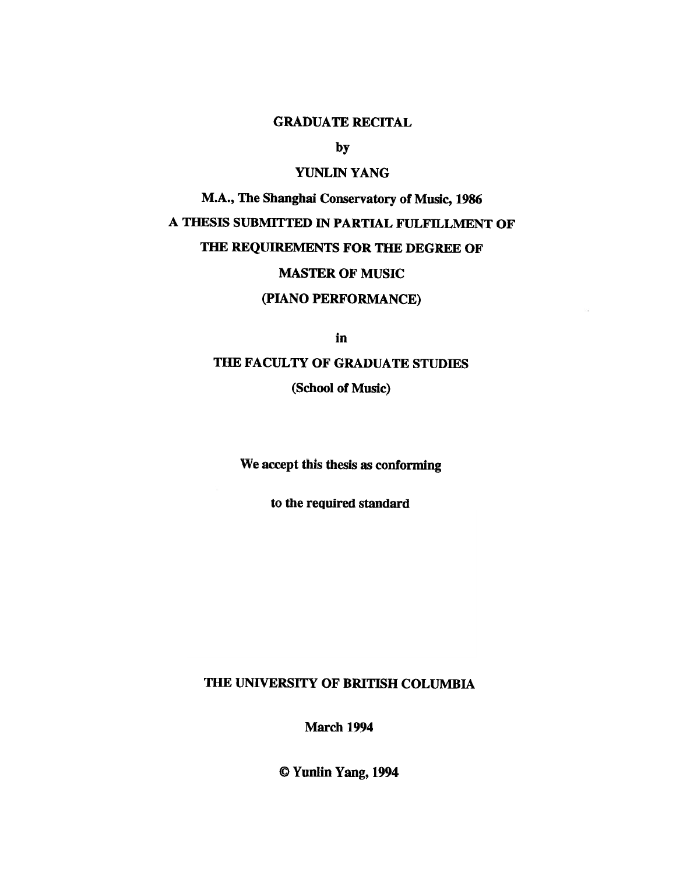## GRADUATE RECITAL

by

# YUNLIN YANG

M.A., The Shanghai Conservatory of Music, 1986 A THESIS SUBMITTED IN PARTIAL FULFILLMENT OF THE REQUIREMENTS FOR THE DEGREE OF MASTER OF MUSIC

#### (PIANO PERFORMANCE)

in

## THE FACULTY OF GRADUATE STUDIES

(School of Music)

We accept this thesis as conforming

to the required standard

# THE UNIVERSITY OF BRITISH COLUMBIA

March 1994

© Yunlin Yang, 1994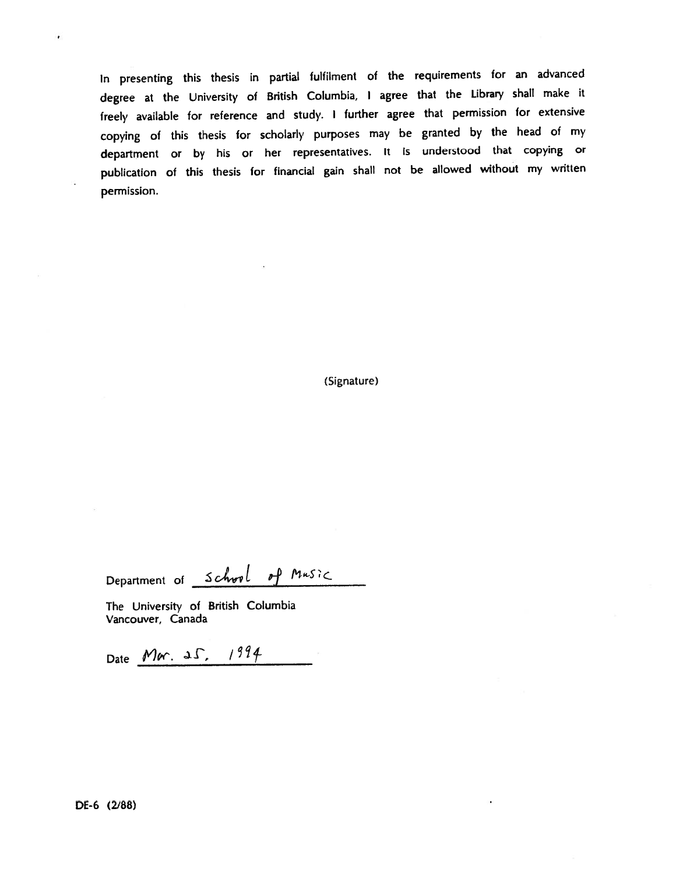In presenting this thesis in partial fulfilment of the requirements for an advanced degree at the University of British Columbia, <sup>I</sup> agree that the Library shall make it freely available for reference and study. <sup>I</sup> further agree that permission for extensive copying of this thesis for scholarly purposes may be granted by the head of my department or by his or her representatives. It is understood that copying or publication of this thesis for financial gain shall not be allowed without my written permission.

(Signature)

Department of School of Music

The University of British Columbia Vancouver, Canada

Date Mar. 25, 1994

 $\lambda$